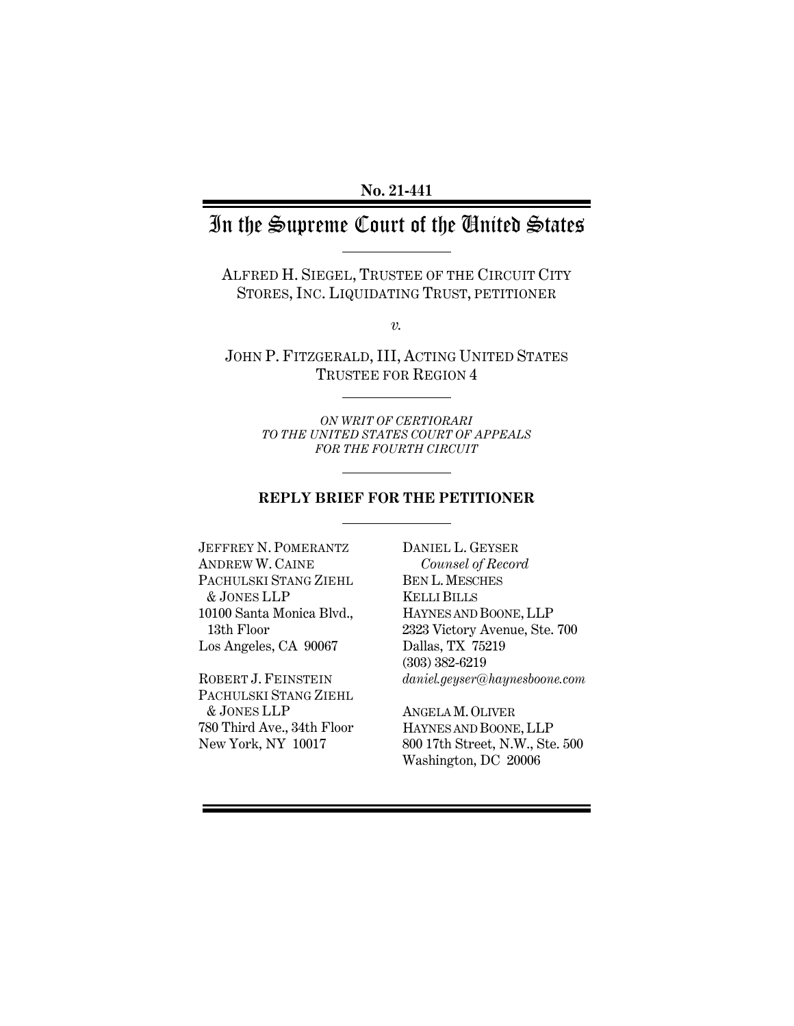# In the Supreme Court of the United States

ALFRED H. SIEGEL, TRUSTEE OF THE CIRCUIT CITY STORES, INC. LIQUIDATING TRUST, PETITIONER

*v.*

JOHN P. FITZGERALD, III, ACTING UNITED STATES TRUSTEE FOR REGION 4

> *ON WRIT OF CERTIORARI TO THE UNITED STATES COURT OF APPEALS FOR THE FOURTH CIRCUIT*

# **REPLY BRIEF FOR THE PETITIONER**

JEFFREY N. POMERANTZ ANDREW W. CAINE PACHULSKI STANG ZIEHL & JONES LLP 10100 Santa Monica Blvd., 13th Floor Los Angeles, CA 90067

ROBERT J. FEINSTEIN PACHULSKI STANG ZIEHL & JONES LLP 780 Third Ave., 34th Floor New York, NY 10017

DANIEL L. GEYSER *Counsel of Record* BEN L.MESCHES KELLI BILLS HAYNES AND BOONE, LLP 2323 Victory Avenue, Ste. 700 Dallas, TX 75219 (303) 382-6219 *daniel.geyser@haynesboone.com*

ANGELA M.OLIVER HAYNES AND BOONE, LLP 800 17th Street, N.W., Ste. 500 Washington, DC 20006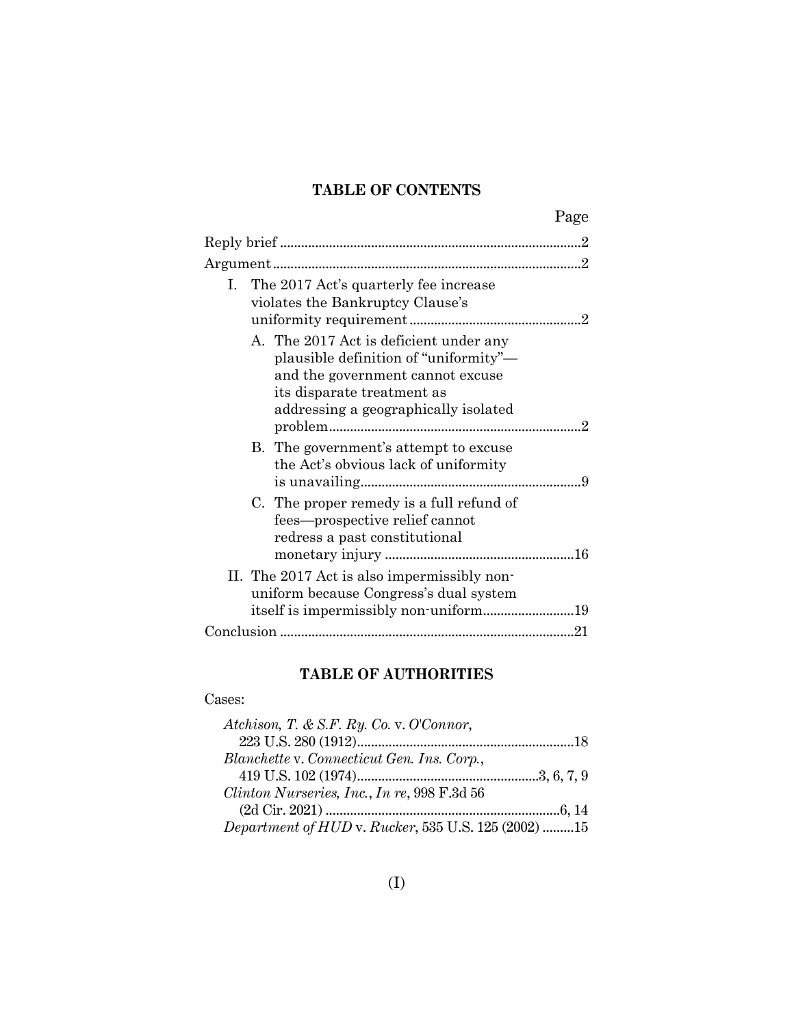# **TABLE OF CONTENTS**

|              |                                                                                                                                                 | Page |
|--------------|-------------------------------------------------------------------------------------------------------------------------------------------------|------|
|              |                                                                                                                                                 |      |
|              |                                                                                                                                                 |      |
| $\mathbf{L}$ | The 2017 Act's quarterly fee increase<br>violates the Bankruptcy Clause's<br>A. The 2017 Act is deficient under any                             |      |
|              | plausible definition of "uniformity"-<br>and the government cannot excuse<br>its disparate treatment as<br>addressing a geographically isolated |      |
|              | B. The government's attempt to excuse<br>the Act's obvious lack of uniformity                                                                   |      |
|              | C. The proper remedy is a full refund of<br>fees—prospective relief cannot<br>redress a past constitutional                                     |      |
|              | II. The 2017 Act is also impermissibly non-<br>uniform because Congress's dual system                                                           |      |
|              |                                                                                                                                                 |      |
|              |                                                                                                                                                 |      |

# **TABLE OF AUTHORITIES**

#### Cases:

| Atchison, T. & S.F. Ry. Co. v. O'Connor,            |  |
|-----------------------------------------------------|--|
|                                                     |  |
| Blanchette v. Connecticut Gen. Ins. Corp.,          |  |
|                                                     |  |
| Clinton Nurseries, Inc., In re, 998 F.3d 56         |  |
|                                                     |  |
| Department of HUD v. Rucker, 535 U.S. 125 (2002) 15 |  |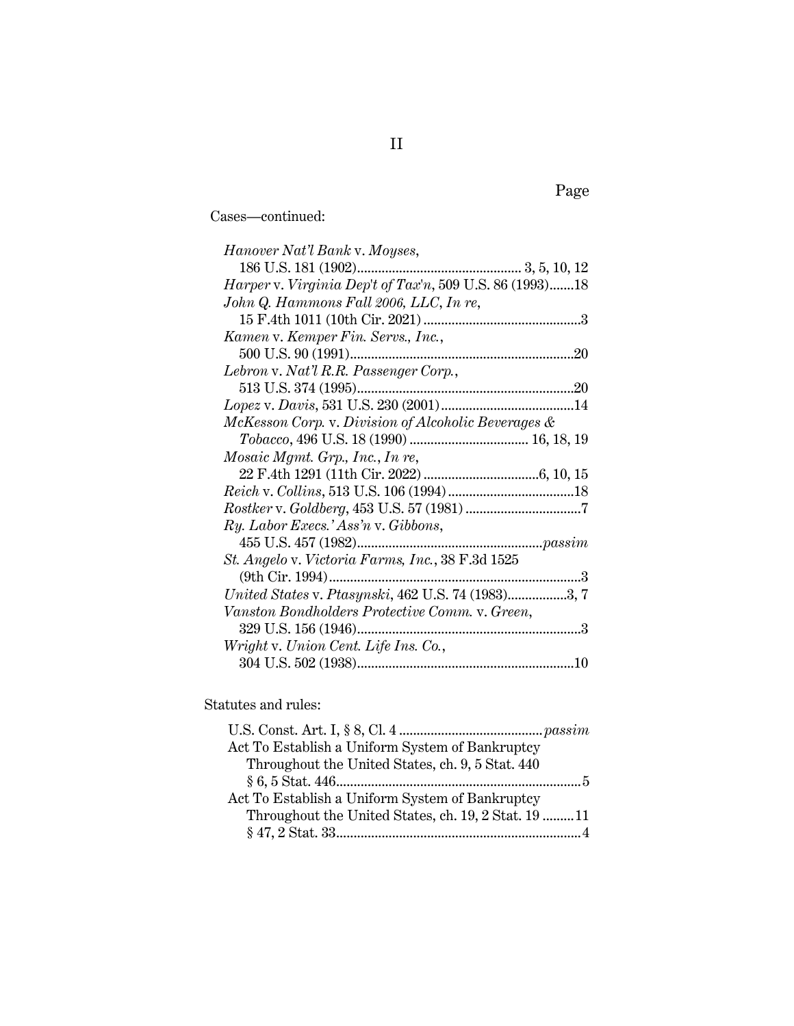Cases—continued:

| Hanover Nat'l Bank v. Moyses,                                  |
|----------------------------------------------------------------|
|                                                                |
| <i>Harper v. Virginia Dep't of Tax'n,</i> 509 U.S. 86 (1993)18 |
| John Q. Hammons Fall 2006, LLC, In re,                         |
|                                                                |
| Kamen v. Kemper Fin. Servs., Inc.,                             |
|                                                                |
| Lebron v. Nat'l R.R. Passenger Corp.,                          |
|                                                                |
|                                                                |
| McKesson Corp. v. Division of Alcoholic Beverages &            |
|                                                                |
| Mosaic Mgmt. Grp., Inc., In re,                                |
|                                                                |
|                                                                |
|                                                                |
| Ry. Labor Execs.' Ass'n v. Gibbons,                            |
|                                                                |
| St. Angelo v. Victoria Farms, Inc., 38 F.3d 1525               |
|                                                                |
| United States v. Ptasynski, 462 U.S. 74 (1983)3, 7             |
| Vanston Bondholders Protective Comm. v. Green,                 |
|                                                                |
| Wright v. Union Cent. Life Ins. Co.,                           |
|                                                                |

Statutes and rules:

| Act To Establish a Uniform System of Bankruptcy      |  |
|------------------------------------------------------|--|
| Throughout the United States, ch. 9, 5 Stat. 440     |  |
| $§ 6, 5 \text{ Stat. } 446 \dots 446 \dots 46$       |  |
| Act To Establish a Uniform System of Bankruptcy      |  |
| Throughout the United States, ch. 19, 2 Stat. 19  11 |  |
|                                                      |  |

Page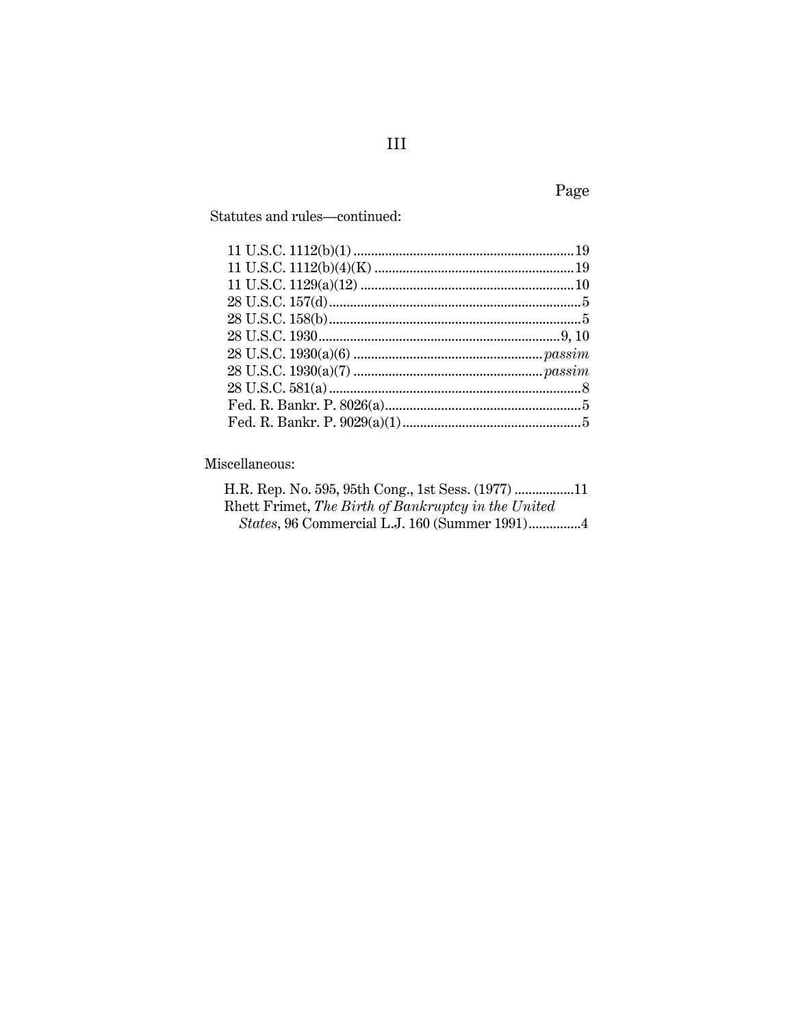Statutes and rules-continued:

Miscellaneous:

| Rhett Frimet, The Birth of Bankruptcy in the United |  |
|-----------------------------------------------------|--|
| States, 96 Commercial L.J. 160 (Summer 1991)4       |  |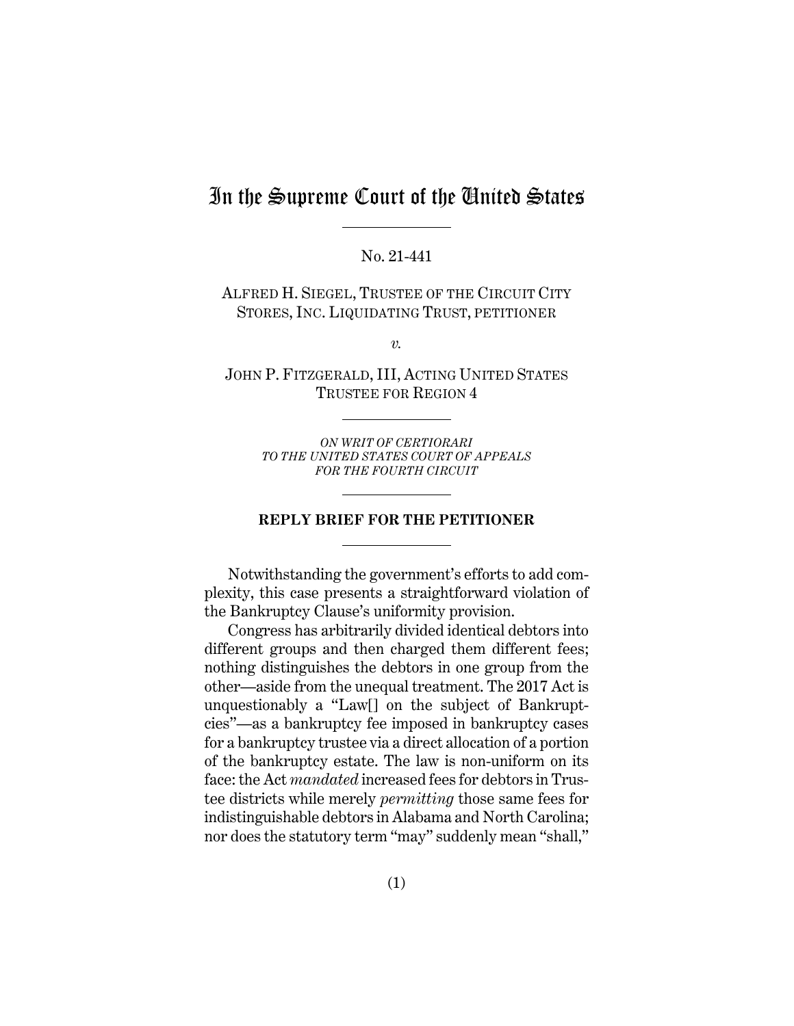# In the Supreme Court of the United States

No. 21-441

ALFRED H. SIEGEL, TRUSTEE OF THE CIRCUIT CITY STORES, INC. LIQUIDATING TRUST, PETITIONER

*v.*

JOHN P. FITZGERALD, III, ACTING UNITED STATES TRUSTEE FOR REGION 4

> *ON WRIT OF CERTIORARI TO THE UNITED STATES COURT OF APPEALS FOR THE FOURTH CIRCUIT*

#### **REPLY BRIEF FOR THE PETITIONER**

Notwithstanding the government's efforts to add complexity, this case presents a straightforward violation of the Bankruptcy Clause's uniformity provision.

Congress has arbitrarily divided identical debtors into different groups and then charged them different fees; nothing distinguishes the debtors in one group from the other—aside from the unequal treatment. The 2017 Act is unquestionably a "Law[] on the subject of Bankruptcies"—as a bankruptcy fee imposed in bankruptcy cases for a bankruptcy trustee via a direct allocation of a portion of the bankruptcy estate. The law is non-uniform on its face: the Act *mandated* increased fees for debtors in Trustee districts while merely *permitting* those same fees for indistinguishable debtors in Alabama and North Carolina; nor does the statutory term "may" suddenly mean "shall,"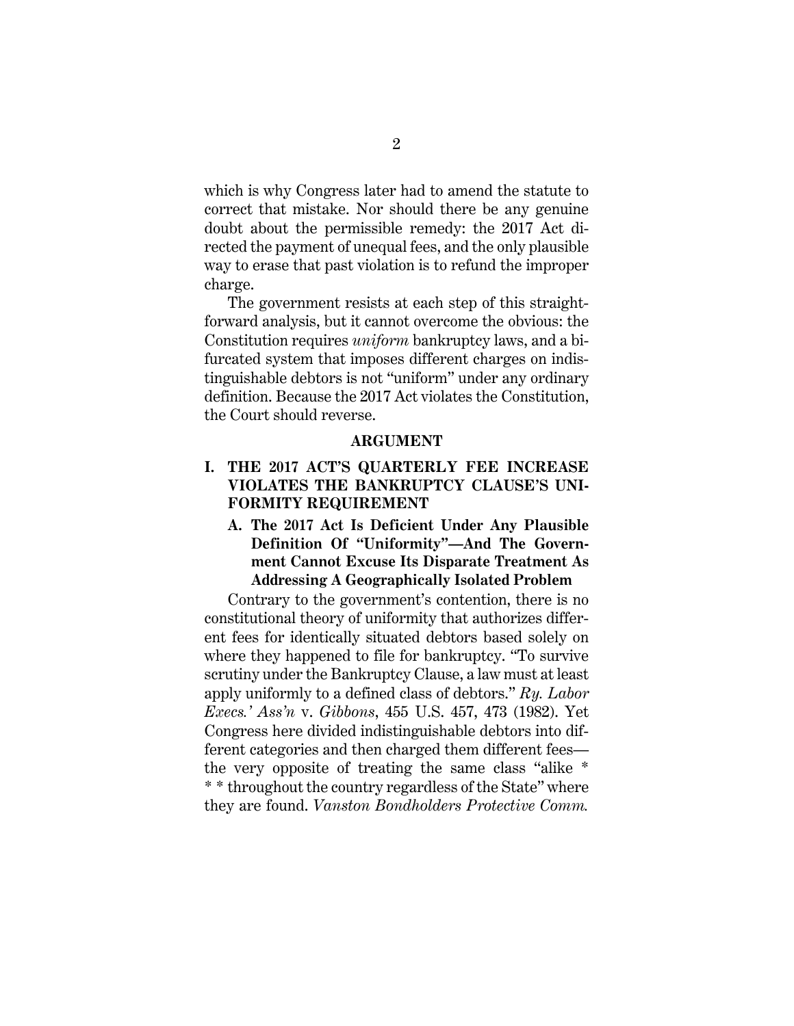which is why Congress later had to amend the statute to correct that mistake. Nor should there be any genuine doubt about the permissible remedy: the 2017 Act directed the payment of unequal fees, and the only plausible way to erase that past violation is to refund the improper charge.

The government resists at each step of this straightforward analysis, but it cannot overcome the obvious: the Constitution requires *uniform* bankruptcy laws, and a bifurcated system that imposes different charges on indistinguishable debtors is not "uniform" under any ordinary definition. Because the 2017 Act violates the Constitution, the Court should reverse.

#### **ARGUMENT**

## <span id="page-5-1"></span><span id="page-5-0"></span>**I. THE 2017 ACT'S QUARTERLY FEE INCREASE VIOLATES THE BANKRUPTCY CLAUSE'S UNI-FORMITY REQUIREMENT**

## <span id="page-5-2"></span>**A. The 2017 Act Is Deficient Under Any Plausible Definition Of "Uniformity"—And The Government Cannot Excuse Its Disparate Treatment As Addressing A Geographically Isolated Problem**

Contrary to the government's contention, there is no constitutional theory of uniformity that authorizes different fees for identically situated debtors based solely on where they happened to file for bankruptcy. "To survive scrutiny under the Bankruptcy Clause, a law must at least apply uniformly to a defined class of debtors." *Ry. Labor Execs.' Ass'n* v. *Gibbons*, 455 U.S. 457, 473 (1982). Yet Congress here divided indistinguishable debtors into different categories and then charged them different fees the very opposite of treating the same class "alike \* \* \* throughout the country regardless of the State" where they are found. *Vanston Bondholders Protective Comm.*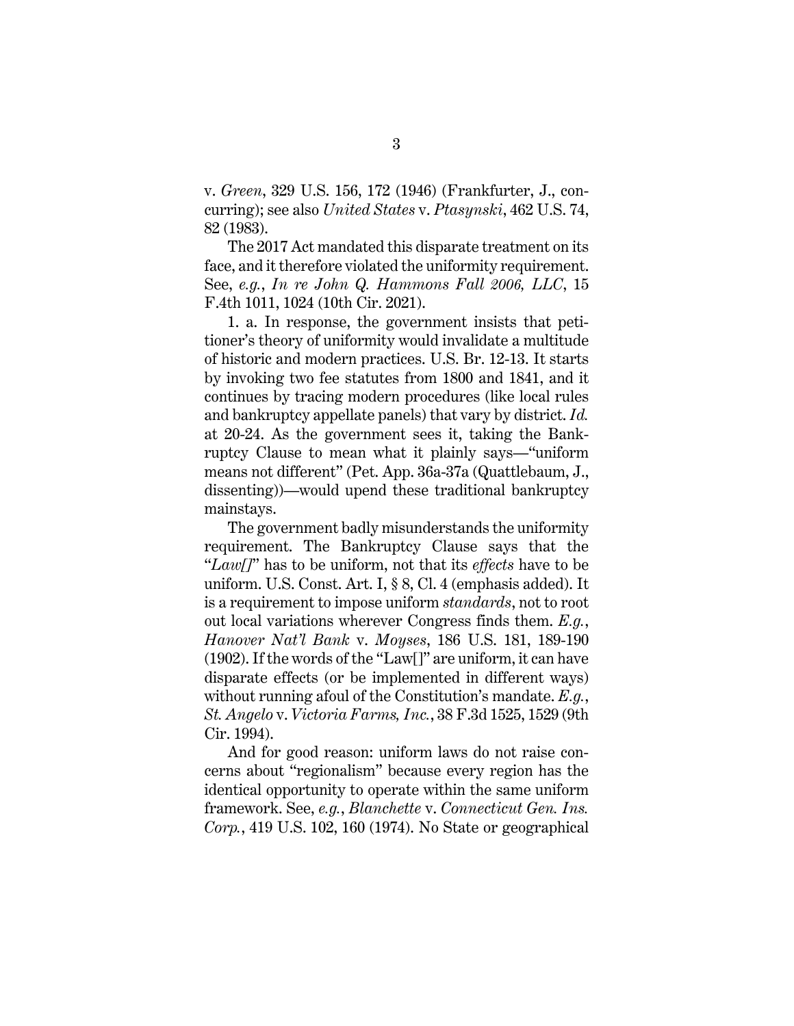v. *Green*, 329 U.S. 156, 172 (1946) (Frankfurter, J., concurring); see also *United States* v. *Ptasynski*, 462 U.S. 74, 82 (1983).

The 2017 Act mandated this disparate treatment on its face, and it therefore violated the uniformity requirement. See, *e.g.*, *In re John Q. Hammons Fall 2006, LLC*, 15 F.4th 1011, 1024 (10th Cir. 2021).

1. a. In response, the government insists that petitioner's theory of uniformity would invalidate a multitude of historic and modern practices. U.S. Br. 12-13. It starts by invoking two fee statutes from 1800 and 1841, and it continues by tracing modern procedures (like local rules and bankruptcy appellate panels) that vary by district. *Id.* at 20-24. As the government sees it, taking the Bankruptcy Clause to mean what it plainly says—"uniform means not different" (Pet. App. 36a-37a (Quattlebaum, J., dissenting))—would upend these traditional bankruptcy mainstays.

The government badly misunderstands the uniformity requirement. The Bankruptcy Clause says that the "*Law[]*" has to be uniform, not that its *effects* have to be uniform. U.S. Const. Art. I, § 8, Cl. 4 (emphasis added). It is a requirement to impose uniform *standards*, not to root out local variations wherever Congress finds them. *E.g.*, *Hanover Nat'l Bank* v. *Moyses*, 186 U.S. 181, 189-190 (1902). If the words of the "Law[]" are uniform, it can have disparate effects (or be implemented in different ways) without running afoul of the Constitution's mandate. *E.g.*, *St. Angelo* v. *Victoria Farms, Inc.*, 38 F.3d 1525, 1529 (9th Cir. 1994).

And for good reason: uniform laws do not raise concerns about "regionalism" because every region has the identical opportunity to operate within the same uniform framework. See, *e.g.*, *Blanchette* v. *Connecticut Gen. Ins. Corp.*, 419 U.S. 102, 160 (1974). No State or geographical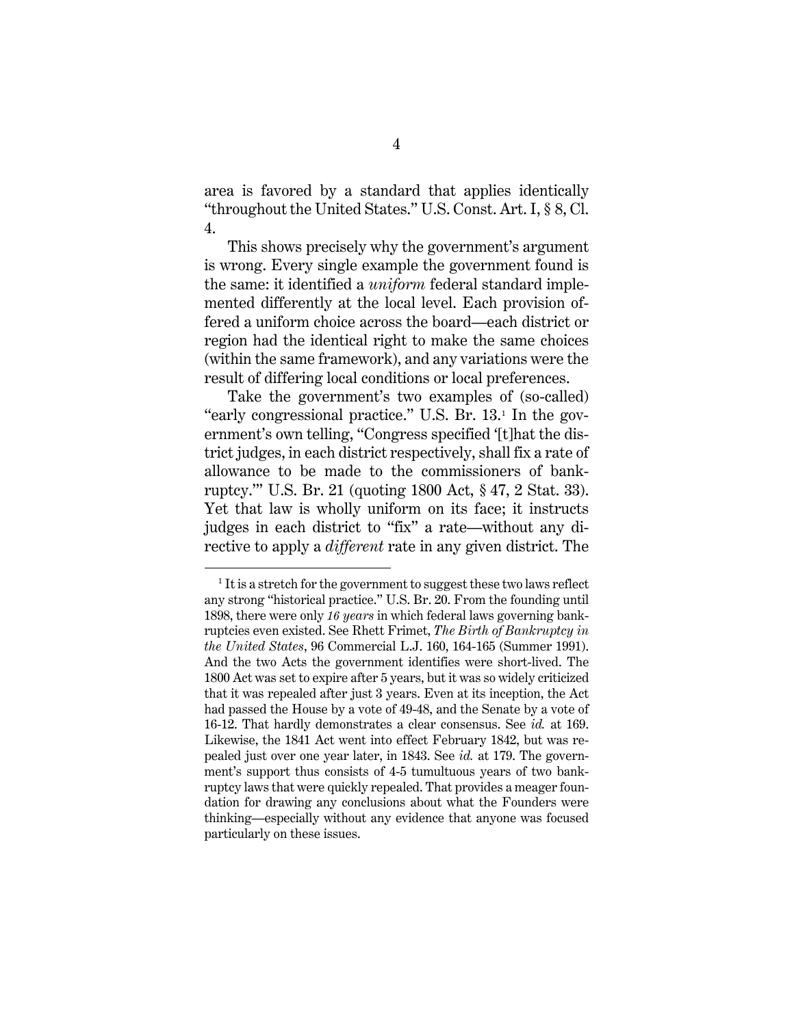area is favored by a standard that applies identically "throughout the United States." U.S. Const. Art. I, § 8, Cl. 4.

This shows precisely why the government's argument is wrong. Every single example the government found is the same: it identified a *uniform* federal standard implemented differently at the local level. Each provision offered a uniform choice across the board—each district or region had the identical right to make the same choices (within the same framework), and any variations were the result of differing local conditions or local preferences.

Take the government's two examples of (so-called) "early congressional practice." U.S. Br. 13.[1](#page-7-0) In the government's own telling, "Congress specified '[t]hat the district judges, in each district respectively, shall fix a rate of allowance to be made to the commissioners of bankruptcy.'" U.S. Br. 21 (quoting 1800 Act, § 47, 2 Stat. 33). Yet that law is wholly uniform on its face; it instructs judges in each district to "fix" a rate—without any directive to apply a *different* rate in any given district. The

<span id="page-7-0"></span> $1$  It is a stretch for the government to suggest these two laws reflect any strong "historical practice." U.S. Br. 20. From the founding until 1898, there were only *16 years* in which federal laws governing bankruptcies even existed. See Rhett Frimet, *The Birth of Bankruptcy in the United States*, 96 Commercial L.J. 160, 164-165 (Summer 1991). And the two Acts the government identifies were short-lived. The 1800 Act was set to expire after 5 years, but it was so widely criticized that it was repealed after just 3 years. Even at its inception, the Act had passed the House by a vote of 49-48, and the Senate by a vote of 16-12. That hardly demonstrates a clear consensus. See *id.* at 169. Likewise, the 1841 Act went into effect February 1842, but was repealed just over one year later, in 1843. See *id.* at 179. The government's support thus consists of 4-5 tumultuous years of two bankruptcy laws that were quickly repealed. That provides a meager foundation for drawing any conclusions about what the Founders were thinking—especially without any evidence that anyone was focused particularly on these issues.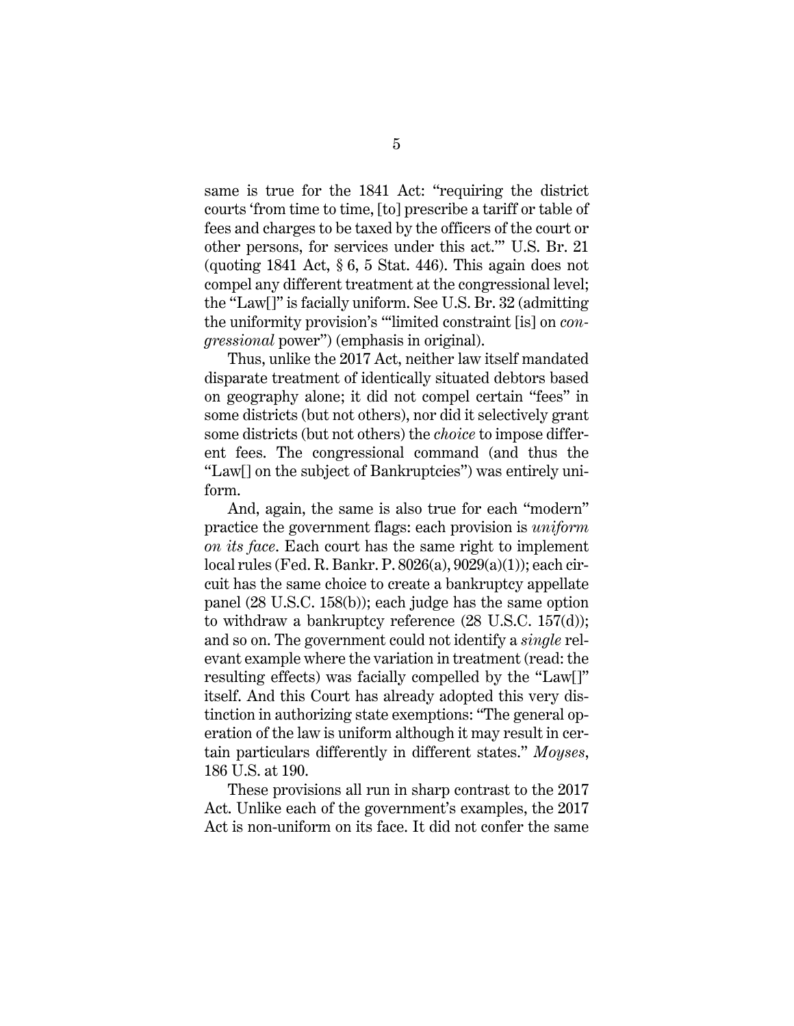same is true for the 1841 Act: "requiring the district courts 'from time to time, [to] prescribe a tariff or table of fees and charges to be taxed by the officers of the court or other persons, for services under this act.'" U.S. Br. 21 (quoting 1841 Act,  $\S 6$ , 5 Stat. 446). This again does not compel any different treatment at the congressional level; the "Law[]" is facially uniform. See U.S. Br. 32 (admitting the uniformity provision's "'limited constraint [is] on *congressional* power") (emphasis in original).

Thus, unlike the 2017 Act, neither law itself mandated disparate treatment of identically situated debtors based on geography alone; it did not compel certain "fees" in some districts (but not others), nor did it selectively grant some districts (but not others) the *choice* to impose different fees. The congressional command (and thus the "Law[] on the subject of Bankruptcies") was entirely uniform.

And, again, the same is also true for each "modern" practice the government flags: each provision is *uniform on its face*. Each court has the same right to implement local rules (Fed. R. Bankr. P. 8026(a), 9029(a)(1)); each circuit has the same choice to create a bankruptcy appellate panel (28 U.S.C. 158(b)); each judge has the same option to withdraw a bankruptcy reference (28 U.S.C. 157(d)); and so on. The government could not identify a *single* relevant example where the variation in treatment (read: the resulting effects) was facially compelled by the "Law[]" itself. And this Court has already adopted this very distinction in authorizing state exemptions: "The general operation of the law is uniform although it may result in certain particulars differently in different states." *Moyses*, 186 U.S. at 190.

These provisions all run in sharp contrast to the 2017 Act. Unlike each of the government's examples, the 2017 Act is non-uniform on its face. It did not confer the same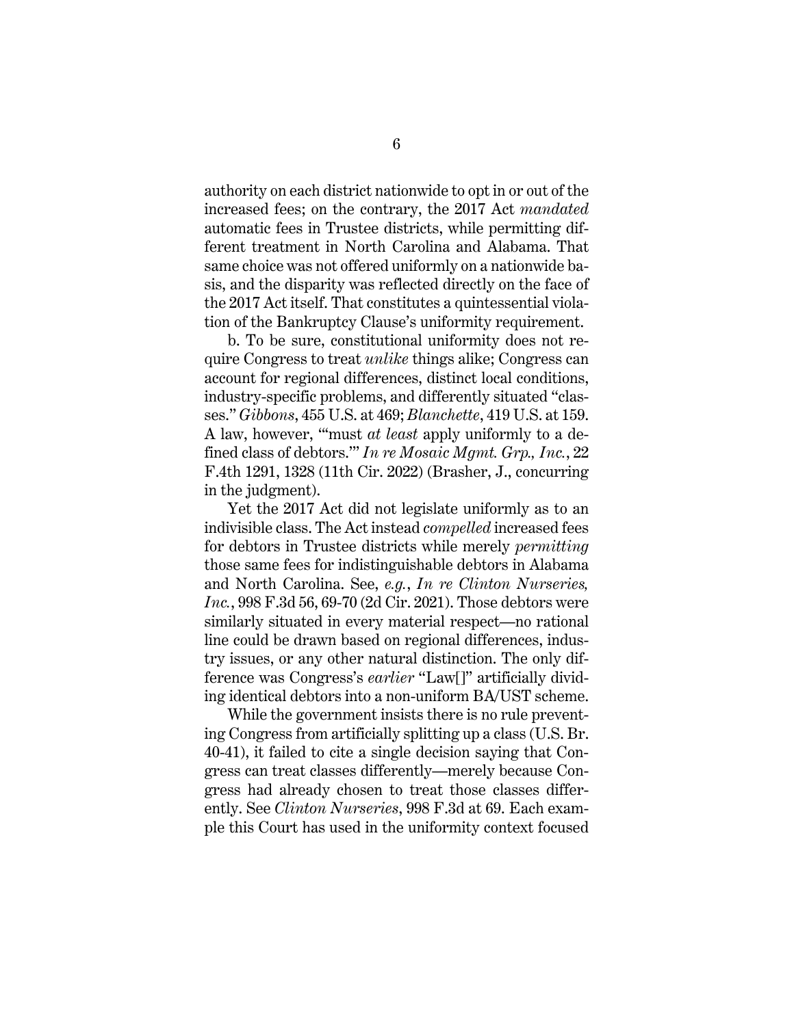authority on each district nationwide to opt in or out of the increased fees; on the contrary, the 2017 Act *mandated* automatic fees in Trustee districts, while permitting different treatment in North Carolina and Alabama. That same choice was not offered uniformly on a nationwide basis, and the disparity was reflected directly on the face of the 2017 Act itself. That constitutes a quintessential violation of the Bankruptcy Clause's uniformity requirement.

b. To be sure, constitutional uniformity does not require Congress to treat *unlike* things alike; Congress can account for regional differences, distinct local conditions, industry-specific problems, and differently situated "classes." *Gibbons*, 455 U.S. at 469; *Blanchette*, 419 U.S. at 159. A law, however, "'must *at least* apply uniformly to a defined class of debtors.'" *In re Mosaic Mgmt. Grp., Inc.*, 22 F.4th 1291, 1328 (11th Cir. 2022) (Brasher, J., concurring in the judgment).

Yet the 2017 Act did not legislate uniformly as to an indivisible class. The Act instead *compelled* increased fees for debtors in Trustee districts while merely *permitting* those same fees for indistinguishable debtors in Alabama and North Carolina. See, *e.g.*, *In re Clinton Nurseries, Inc.*, 998 F.3d 56, 69-70 (2d Cir. 2021). Those debtors were similarly situated in every material respect—no rational line could be drawn based on regional differences, industry issues, or any other natural distinction. The only difference was Congress's *earlier* "Law[]" artificially dividing identical debtors into a non-uniform BA/UST scheme.

While the government insists there is no rule preventing Congress from artificially splitting up a class (U.S. Br. 40-41), it failed to cite a single decision saying that Congress can treat classes differently—merely because Congress had already chosen to treat those classes differently. See *Clinton Nurseries*, 998 F.3d at 69. Each example this Court has used in the uniformity context focused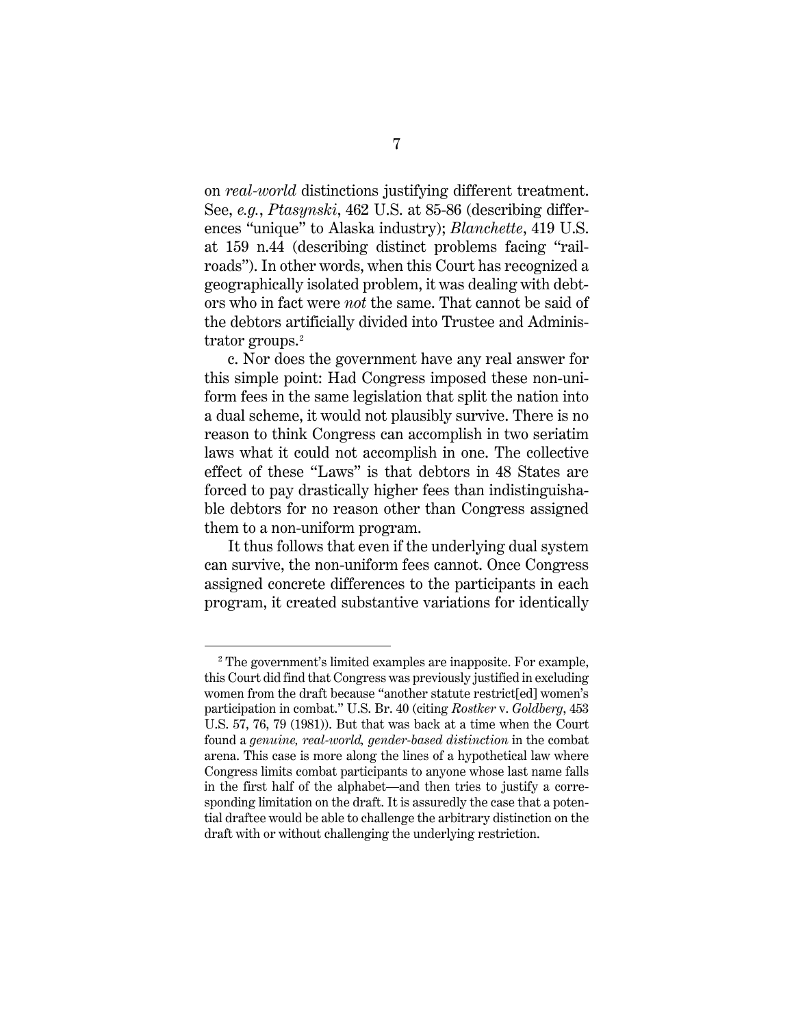on *real-world* distinctions justifying different treatment. See, *e.g.*, *Ptasynski*, 462 U.S. at 85-86 (describing differences "unique" to Alaska industry); *Blanchette*, 419 U.S. at 159 n.44 (describing distinct problems facing "railroads"). In other words, when this Court has recognized a geographically isolated problem, it was dealing with debtors who in fact were *not* the same. That cannot be said of the debtors artificially divided into Trustee and Administrator groups.[2](#page-10-0)

c. Nor does the government have any real answer for this simple point: Had Congress imposed these non-uniform fees in the same legislation that split the nation into a dual scheme, it would not plausibly survive. There is no reason to think Congress can accomplish in two seriatim laws what it could not accomplish in one. The collective effect of these "Laws" is that debtors in 48 States are forced to pay drastically higher fees than indistinguishable debtors for no reason other than Congress assigned them to a non-uniform program.

It thus follows that even if the underlying dual system can survive, the non-uniform fees cannot. Once Congress assigned concrete differences to the participants in each program, it created substantive variations for identically

<span id="page-10-0"></span><sup>2</sup> The government's limited examples are inapposite. For example, this Court did find that Congress was previously justified in excluding women from the draft because "another statute restrict[ed] women's participation in combat." U.S. Br. 40 (citing *Rostker* v. *Goldberg*, 453 U.S. 57, 76, 79 (1981)). But that was back at a time when the Court found a *genuine, real-world, gender-based distinction* in the combat arena. This case is more along the lines of a hypothetical law where Congress limits combat participants to anyone whose last name falls in the first half of the alphabet—and then tries to justify a corresponding limitation on the draft. It is assuredly the case that a potential draftee would be able to challenge the arbitrary distinction on the draft with or without challenging the underlying restriction.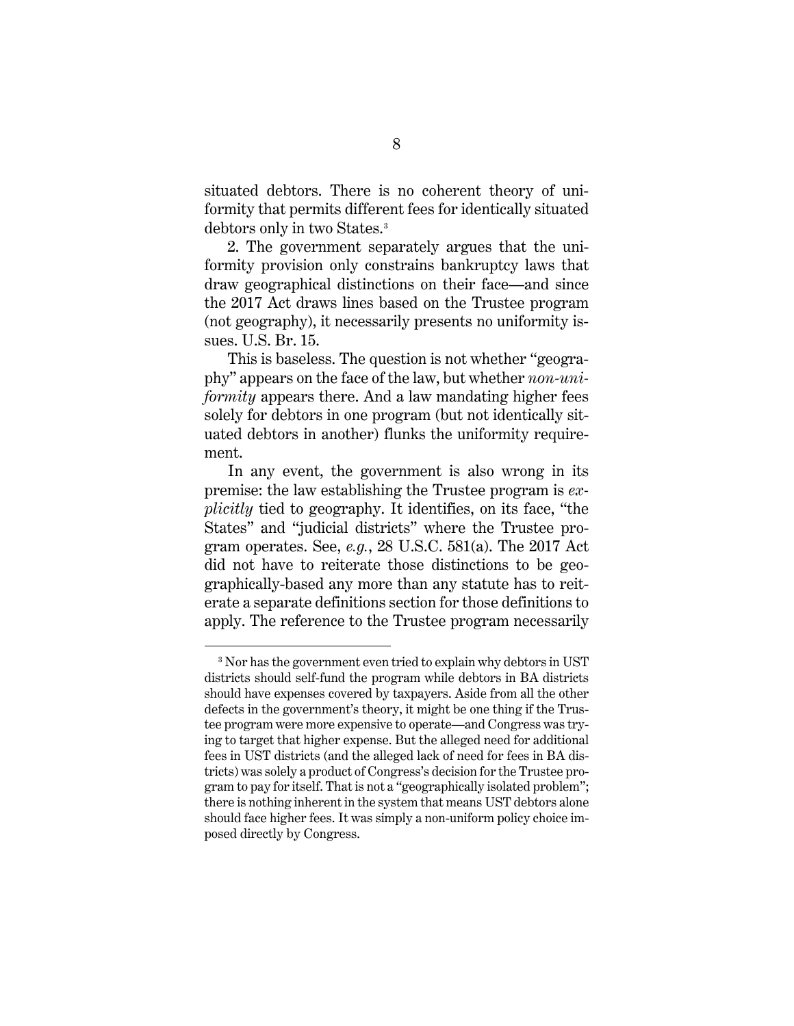situated debtors. There is no coherent theory of uniformity that permits different fees for identically situated debtors only in two States.[3](#page-11-0)

2. The government separately argues that the uniformity provision only constrains bankruptcy laws that draw geographical distinctions on their face—and since the 2017 Act draws lines based on the Trustee program (not geography), it necessarily presents no uniformity issues. U.S. Br. 15.

This is baseless. The question is not whether "geography" appears on the face of the law, but whether *non-uniformity* appears there. And a law mandating higher fees solely for debtors in one program (but not identically situated debtors in another) flunks the uniformity requirement.

In any event, the government is also wrong in its premise: the law establishing the Trustee program is *explicitly* tied to geography. It identifies, on its face, "the States" and "judicial districts" where the Trustee program operates. See, *e.g.*, 28 U.S.C. 581(a). The 2017 Act did not have to reiterate those distinctions to be geographically-based any more than any statute has to reiterate a separate definitions section for those definitions to apply. The reference to the Trustee program necessarily

<span id="page-11-0"></span><sup>&</sup>lt;sup>3</sup> Nor has the government even tried to explain why debtors in UST districts should self-fund the program while debtors in BA districts should have expenses covered by taxpayers. Aside from all the other defects in the government's theory, it might be one thing if the Trustee program were more expensive to operate—and Congress was trying to target that higher expense. But the alleged need for additional fees in UST districts (and the alleged lack of need for fees in BA districts) was solely a product of Congress's decision for the Trustee program to pay for itself. That is not a "geographically isolated problem"; there is nothing inherent in the system that means UST debtors alone should face higher fees. It was simply a non-uniform policy choice imposed directly by Congress.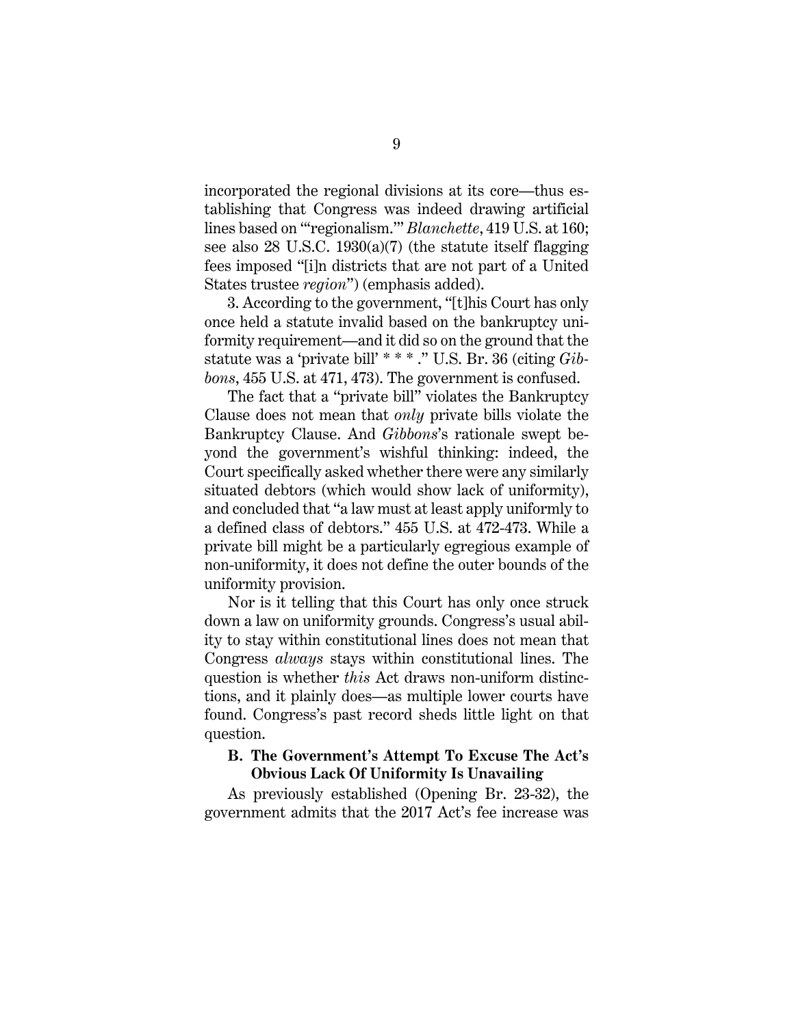incorporated the regional divisions at its core—thus establishing that Congress was indeed drawing artificial lines based on "'regionalism.'" *Blanchette*, 419 U.S. at 160; see also 28 U.S.C. 1930(a)(7) (the statute itself flagging fees imposed "[i]n districts that are not part of a United States trustee *region*") (emphasis added).

3. According to the government, "[t]his Court has only once held a statute invalid based on the bankruptcy uniformity requirement—and it did so on the ground that the statute was a 'private bill' \* \* \* ." U.S. Br. 36 (citing *Gibbons*, 455 U.S. at 471, 473). The government is confused.

The fact that a "private bill" violates the Bankruptcy Clause does not mean that *only* private bills violate the Bankruptcy Clause. And *Gibbons*'s rationale swept beyond the government's wishful thinking: indeed, the Court specifically asked whether there were any similarly situated debtors (which would show lack of uniformity), and concluded that "a law must at least apply uniformly to a defined class of debtors." 455 U.S. at 472-473. While a private bill might be a particularly egregious example of non-uniformity, it does not define the outer bounds of the uniformity provision.

Nor is it telling that this Court has only once struck down a law on uniformity grounds. Congress's usual ability to stay within constitutional lines does not mean that Congress *always* stays within constitutional lines. The question is whether *this* Act draws non-uniform distinctions, and it plainly does—as multiple lower courts have found. Congress's past record sheds little light on that question.

#### <span id="page-12-0"></span>**B. The Government's Attempt To Excuse The Act's Obvious Lack Of Uniformity Is Unavailing**

As previously established (Opening Br. 23-32), the government admits that the 2017 Act's fee increase was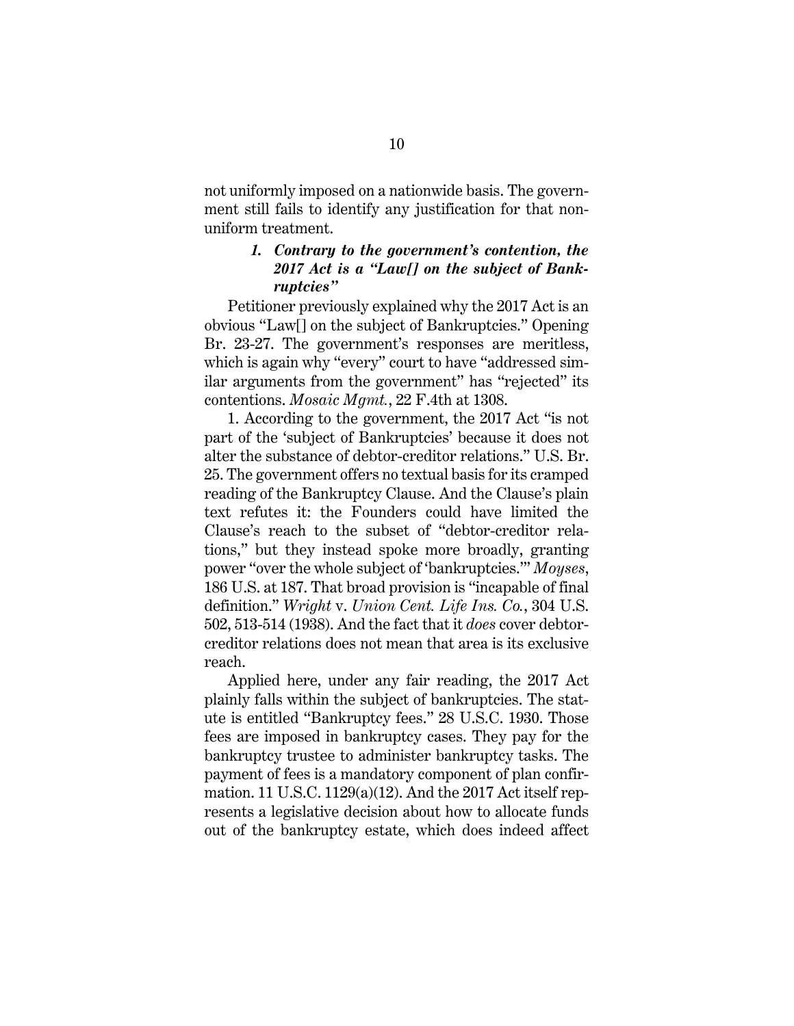not uniformly imposed on a nationwide basis. The government still fails to identify any justification for that nonuniform treatment.

#### *1. Contrary to the government's contention, the 2017 Act is a "Law[] on the subject of Bankruptcies"*

Petitioner previously explained why the 2017 Act is an obvious "Law[] on the subject of Bankruptcies." Opening Br. 23-27. The government's responses are meritless, which is again why "every" court to have "addressed similar arguments from the government" has "rejected" its contentions. *Mosaic Mgmt.*, 22 F.4th at 1308.

1. According to the government, the 2017 Act "is not part of the 'subject of Bankruptcies' because it does not alter the substance of debtor-creditor relations." U.S. Br. 25. The government offers no textual basis for its cramped reading of the Bankruptcy Clause. And the Clause's plain text refutes it: the Founders could have limited the Clause's reach to the subset of "debtor-creditor relations," but they instead spoke more broadly, granting power "over the whole subject of 'bankruptcies.'" *Moyses*, 186 U.S. at 187. That broad provision is "incapable of final definition." *Wright* v. *Union Cent. Life Ins. Co.*, 304 U.S. 502, 513-514 (1938). And the fact that it *does* cover debtorcreditor relations does not mean that area is its exclusive reach.

Applied here, under any fair reading, the 2017 Act plainly falls within the subject of bankruptcies. The statute is entitled "Bankruptcy fees." 28 U.S.C. 1930. Those fees are imposed in bankruptcy cases. They pay for the bankruptcy trustee to administer bankruptcy tasks. The payment of fees is a mandatory component of plan confirmation. 11 U.S.C. 1129(a)(12). And the 2017 Act itself represents a legislative decision about how to allocate funds out of the bankruptcy estate, which does indeed affect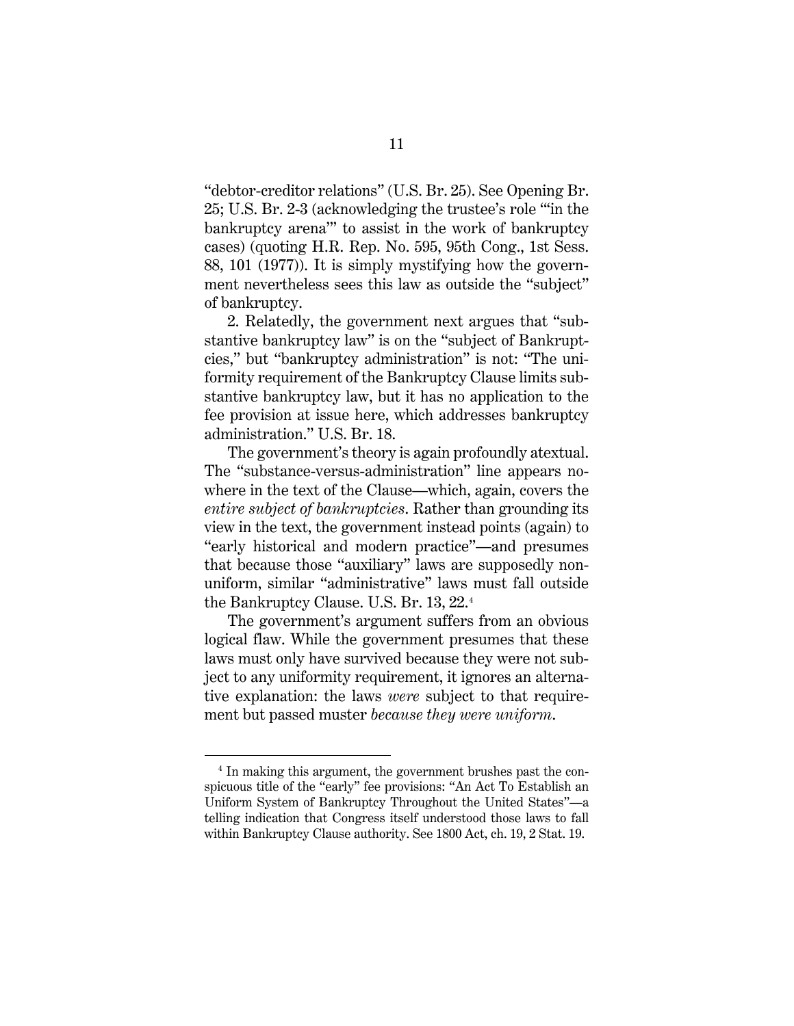"debtor-creditor relations" (U.S. Br. 25). See Opening Br. 25; U.S. Br. 2-3 (acknowledging the trustee's role "'in the bankruptcy arena'" to assist in the work of bankruptcy cases) (quoting H.R. Rep. No. 595, 95th Cong., 1st Sess. 88, 101 (1977)). It is simply mystifying how the government nevertheless sees this law as outside the "subject" of bankruptcy.

2. Relatedly, the government next argues that "substantive bankruptcy law" is on the "subject of Bankruptcies," but "bankruptcy administration" is not: "The uniformity requirement of the Bankruptcy Clause limits substantive bankruptcy law, but it has no application to the fee provision at issue here, which addresses bankruptcy administration." U.S. Br. 18.

The government's theory is again profoundly atextual. The "substance-versus-administration" line appears nowhere in the text of the Clause—which, again, covers the *entire subject of bankruptcies*. Rather than grounding its view in the text, the government instead points (again) to "early historical and modern practice"—and presumes that because those "auxiliary" laws are supposedly nonuniform, similar "administrative" laws must fall outside the Bankruptcy Clause. U.S. Br. 13, 22.[4](#page-14-0)

The government's argument suffers from an obvious logical flaw. While the government presumes that these laws must only have survived because they were not subject to any uniformity requirement, it ignores an alternative explanation: the laws *were* subject to that requirement but passed muster *because they were uniform*.

<span id="page-14-0"></span><sup>4</sup> In making this argument, the government brushes past the conspicuous title of the "early" fee provisions: "An Act To Establish an Uniform System of Bankruptcy Throughout the United States"—a telling indication that Congress itself understood those laws to fall within Bankruptcy Clause authority. See 1800 Act, ch. 19, 2 Stat. 19.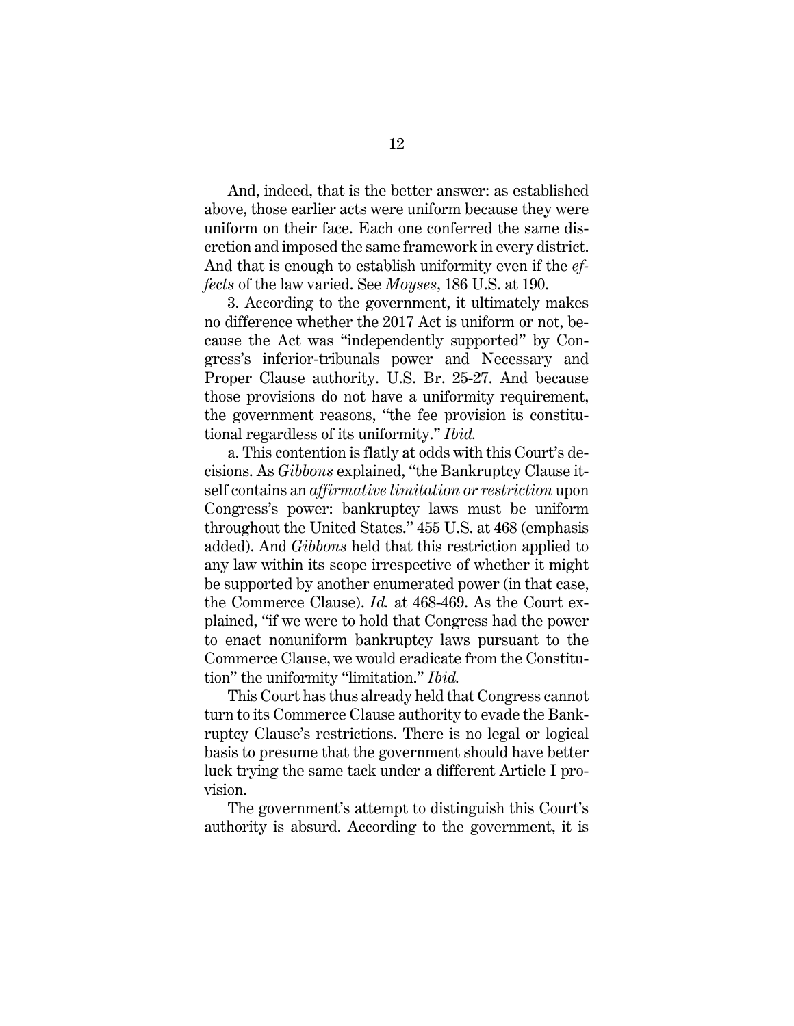And, indeed, that is the better answer: as established above, those earlier acts were uniform because they were uniform on their face. Each one conferred the same discretion and imposed the same framework in every district. And that is enough to establish uniformity even if the *effects* of the law varied. See *Moyses*, 186 U.S. at 190.

3. According to the government, it ultimately makes no difference whether the 2017 Act is uniform or not, because the Act was "independently supported" by Congress's inferior-tribunals power and Necessary and Proper Clause authority. U.S. Br. 25-27. And because those provisions do not have a uniformity requirement, the government reasons, "the fee provision is constitutional regardless of its uniformity." *Ibid.*

a. This contention is flatly at odds with this Court's decisions. As *Gibbons* explained, "the Bankruptcy Clause itself contains an *affirmative limitation or restriction* upon Congress's power: bankruptcy laws must be uniform throughout the United States." 455 U.S. at 468 (emphasis added). And *Gibbons* held that this restriction applied to any law within its scope irrespective of whether it might be supported by another enumerated power (in that case, the Commerce Clause). *Id.* at 468-469. As the Court explained, "if we were to hold that Congress had the power to enact nonuniform bankruptcy laws pursuant to the Commerce Clause, we would eradicate from the Constitution" the uniformity "limitation." *Ibid.*

This Court has thus already held that Congress cannot turn to its Commerce Clause authority to evade the Bankruptcy Clause's restrictions. There is no legal or logical basis to presume that the government should have better luck trying the same tack under a different Article I provision.

The government's attempt to distinguish this Court's authority is absurd. According to the government, it is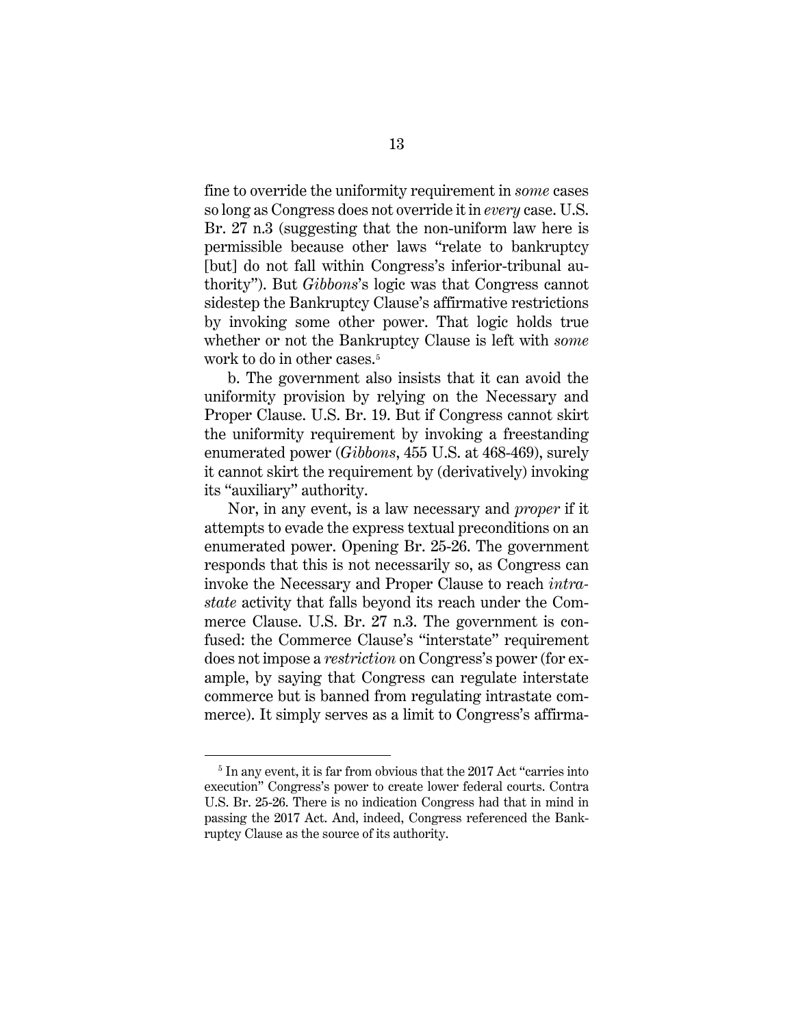fine to override the uniformity requirement in *some* cases so long as Congress does not override it in *every* case. U.S. Br. 27 n.3 (suggesting that the non-uniform law here is permissible because other laws "relate to bankruptcy [but] do not fall within Congress's inferior-tribunal authority"). But *Gibbons*'s logic was that Congress cannot sidestep the Bankruptcy Clause's affirmative restrictions by invoking some other power. That logic holds true whether or not the Bankruptcy Clause is left with *some* work to do in other cases.<sup>[5](#page-16-0)</sup>

b. The government also insists that it can avoid the uniformity provision by relying on the Necessary and Proper Clause. U.S. Br. 19. But if Congress cannot skirt the uniformity requirement by invoking a freestanding enumerated power (*Gibbons*, 455 U.S. at 468-469), surely it cannot skirt the requirement by (derivatively) invoking its "auxiliary" authority.

Nor, in any event, is a law necessary and *proper* if it attempts to evade the express textual preconditions on an enumerated power. Opening Br. 25-26. The government responds that this is not necessarily so, as Congress can invoke the Necessary and Proper Clause to reach *intrastate* activity that falls beyond its reach under the Commerce Clause. U.S. Br. 27 n.3. The government is confused: the Commerce Clause's "interstate" requirement does not impose a *restriction* on Congress's power (for example, by saying that Congress can regulate interstate commerce but is banned from regulating intrastate commerce). It simply serves as a limit to Congress's affirma-

<span id="page-16-0"></span><sup>&</sup>lt;sup>5</sup> In any event, it is far from obvious that the 2017 Act "carries into execution" Congress's power to create lower federal courts. Contra U.S. Br. 25-26. There is no indication Congress had that in mind in passing the 2017 Act. And, indeed, Congress referenced the Bankruptcy Clause as the source of its authority.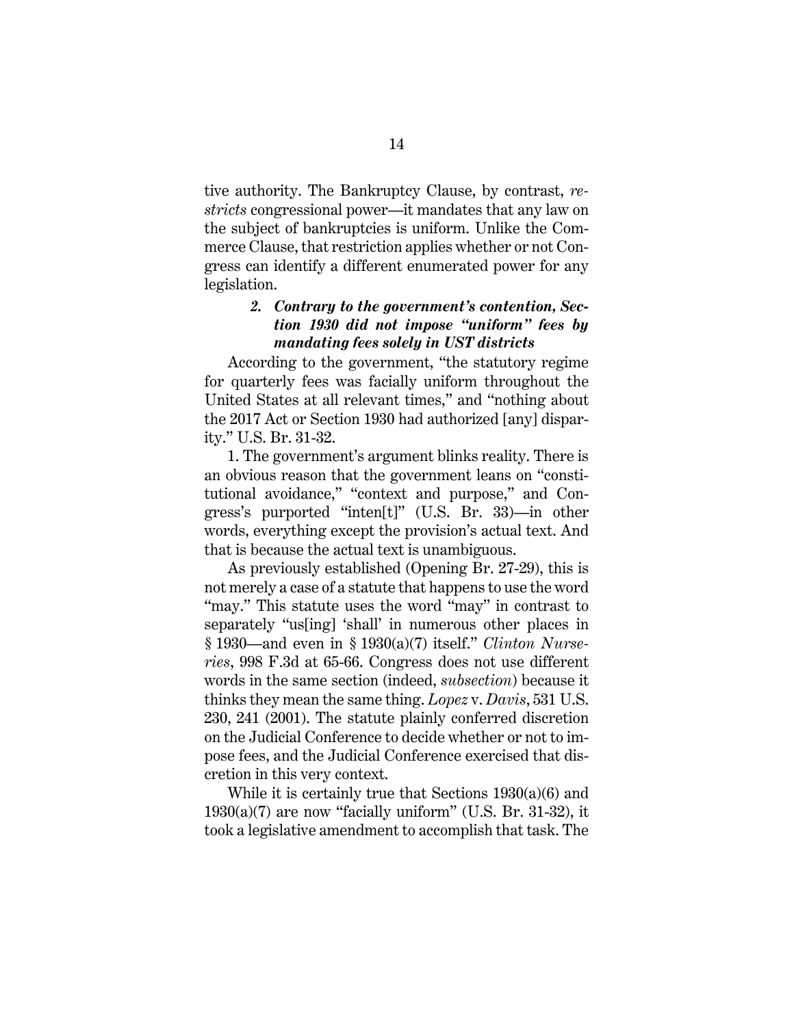tive authority. The Bankruptcy Clause, by contrast, *restricts* congressional power—it mandates that any law on the subject of bankruptcies is uniform. Unlike the Commerce Clause, that restriction applies whether or not Congress can identify a different enumerated power for any legislation.

# *2. Contrary to the government's contention, Section 1930 did not impose "uniform" fees by mandating fees solely in UST districts*

According to the government, "the statutory regime for quarterly fees was facially uniform throughout the United States at all relevant times," and "nothing about the 2017 Act or Section 1930 had authorized [any] disparity." U.S. Br. 31-32.

1. The government's argument blinks reality. There is an obvious reason that the government leans on "constitutional avoidance," "context and purpose," and Congress's purported "inten[t]" (U.S. Br. 33)—in other words, everything except the provision's actual text. And that is because the actual text is unambiguous.

As previously established (Opening Br. 27-29), this is not merely a case of a statute that happens to use the word "may." This statute uses the word "may" in contrast to separately "us[ing] 'shall' in numerous other places in § 1930—and even in § 1930(a)(7) itself." *Clinton Nurseries*, 998 F.3d at 65-66. Congress does not use different words in the same section (indeed, *subsection*) because it thinks they mean the same thing. *Lopez* v. *Davis*, 531 U.S. 230, 241 (2001). The statute plainly conferred discretion on the Judicial Conference to decide whether or not to impose fees, and the Judicial Conference exercised that discretion in this very context.

While it is certainly true that Sections 1930(a)(6) and  $1930(a)(7)$  are now "facially uniform" (U.S. Br. 31-32), it took a legislative amendment to accomplish that task. The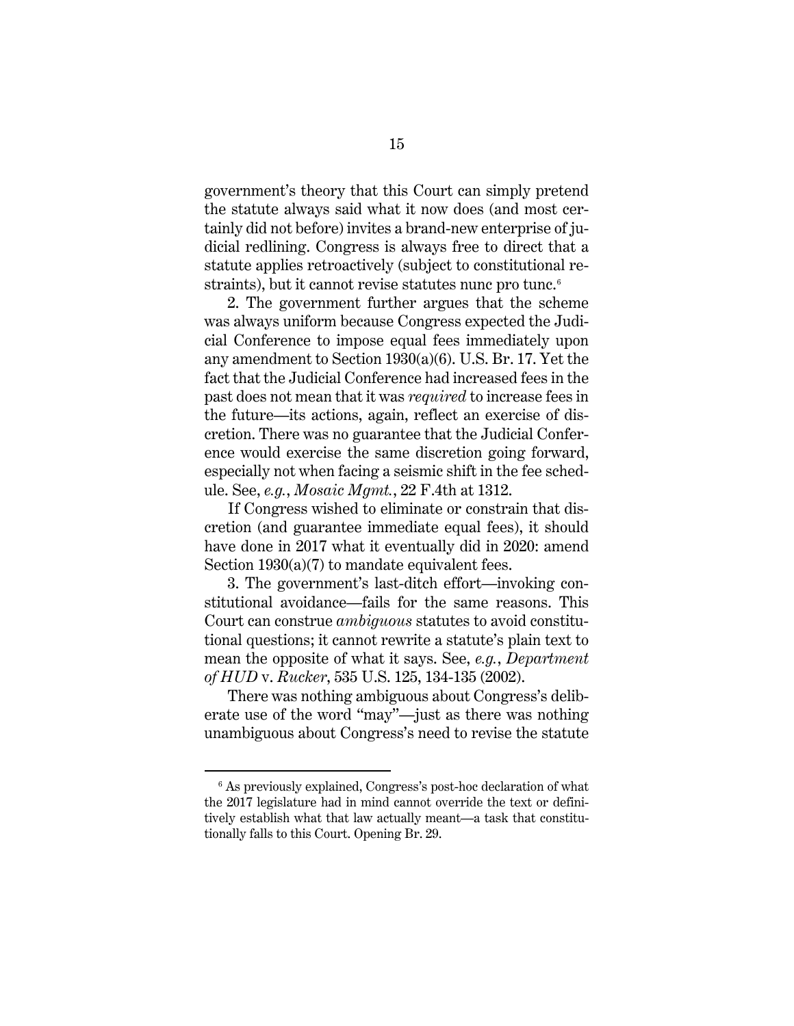government's theory that this Court can simply pretend the statute always said what it now does (and most certainly did not before) invites a brand-new enterprise of judicial redlining. Congress is always free to direct that a statute applies retroactively (subject to constitutional re-straints), but it cannot revise statutes nunc pro tunc.<sup>[6](#page-18-0)</sup>

2. The government further argues that the scheme was always uniform because Congress expected the Judicial Conference to impose equal fees immediately upon any amendment to Section 1930(a)(6). U.S. Br. 17. Yet the fact that the Judicial Conference had increased fees in the past does not mean that it was *required* to increase fees in the future—its actions, again, reflect an exercise of discretion. There was no guarantee that the Judicial Conference would exercise the same discretion going forward, especially not when facing a seismic shift in the fee schedule. See, *e.g.*, *Mosaic Mgmt.*, 22 F.4th at 1312.

If Congress wished to eliminate or constrain that discretion (and guarantee immediate equal fees), it should have done in 2017 what it eventually did in 2020: amend Section 1930(a)(7) to mandate equivalent fees.

3. The government's last-ditch effort—invoking constitutional avoidance—fails for the same reasons. This Court can construe *ambiguous* statutes to avoid constitutional questions; it cannot rewrite a statute's plain text to mean the opposite of what it says. See, *e.g.*, *Department of HUD* v. *Rucker*, 535 U.S. 125, 134-135 (2002).

There was nothing ambiguous about Congress's deliberate use of the word "may"—just as there was nothing unambiguous about Congress's need to revise the statute

<span id="page-18-0"></span> $6$  As previously explained, Congress's post-hoc declaration of what the 2017 legislature had in mind cannot override the text or definitively establish what that law actually meant—a task that constitutionally falls to this Court. Opening Br. 29.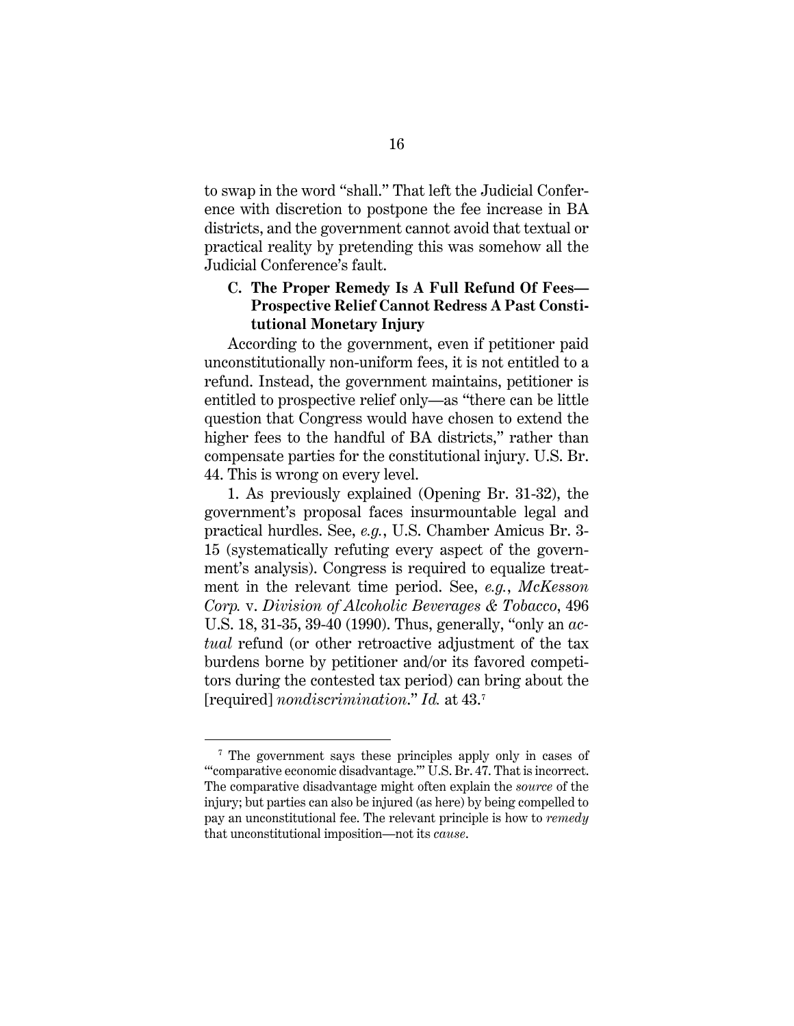to swap in the word "shall." That left the Judicial Conference with discretion to postpone the fee increase in BA districts, and the government cannot avoid that textual or practical reality by pretending this was somehow all the Judicial Conference's fault.

# <span id="page-19-0"></span>**C. The Proper Remedy Is A Full Refund Of Fees— Prospective Relief Cannot Redress A Past Constitutional Monetary Injury**

According to the government, even if petitioner paid unconstitutionally non-uniform fees, it is not entitled to a refund. Instead, the government maintains, petitioner is entitled to prospective relief only—as "there can be little question that Congress would have chosen to extend the higher fees to the handful of BA districts," rather than compensate parties for the constitutional injury. U.S. Br. 44. This is wrong on every level.

1. As previously explained (Opening Br. 31-32), the government's proposal faces insurmountable legal and practical hurdles. See, *e.g.*, U.S. Chamber Amicus Br. 3- 15 (systematically refuting every aspect of the government's analysis). Congress is required to equalize treatment in the relevant time period. See, *e.g.*, *McKesson Corp.* v. *Division of Alcoholic Beverages & Tobacco*, 496 U.S. 18, 31-35, 39-40 (1990). Thus, generally, "only an *actual* refund (or other retroactive adjustment of the tax burdens borne by petitioner and/or its favored competitors during the contested tax period) can bring about the [required] *nondiscrimination*." *Id.* at 43.[7](#page-19-1)

<span id="page-19-1"></span><sup>&</sup>lt;sup>7</sup> The government says these principles apply only in cases of "'comparative economic disadvantage.'" U.S. Br. 47. That is incorrect. The comparative disadvantage might often explain the *source* of the injury; but parties can also be injured (as here) by being compelled to pay an unconstitutional fee. The relevant principle is how to *remedy* that unconstitutional imposition—not its *cause*.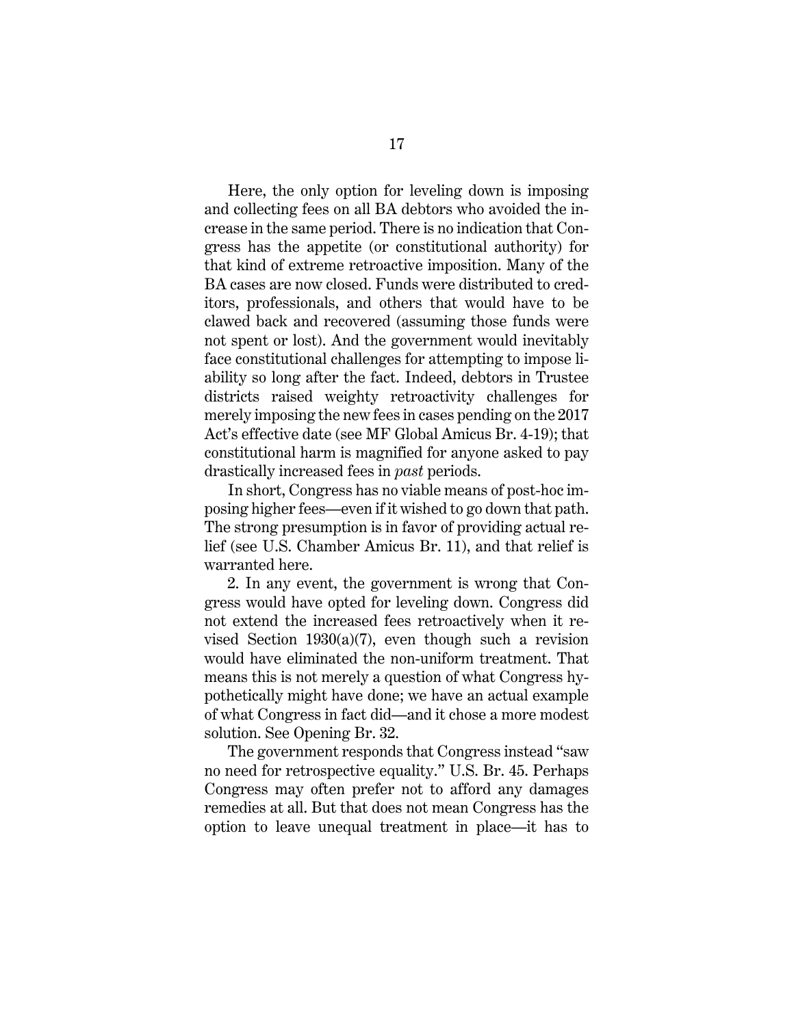Here, the only option for leveling down is imposing and collecting fees on all BA debtors who avoided the increase in the same period. There is no indication that Congress has the appetite (or constitutional authority) for that kind of extreme retroactive imposition. Many of the BA cases are now closed. Funds were distributed to creditors, professionals, and others that would have to be clawed back and recovered (assuming those funds were not spent or lost). And the government would inevitably face constitutional challenges for attempting to impose liability so long after the fact. Indeed, debtors in Trustee districts raised weighty retroactivity challenges for merely imposing the new fees in cases pending on the 2017 Act's effective date (see MF Global Amicus Br. 4-19); that constitutional harm is magnified for anyone asked to pay drastically increased fees in *past* periods.

In short, Congress has no viable means of post-hoc imposing higher fees—even if it wished to go down that path. The strong presumption is in favor of providing actual relief (see U.S. Chamber Amicus Br. 11), and that relief is warranted here.

2. In any event, the government is wrong that Congress would have opted for leveling down. Congress did not extend the increased fees retroactively when it revised Section  $1930(a)(7)$ , even though such a revision would have eliminated the non-uniform treatment. That means this is not merely a question of what Congress hypothetically might have done; we have an actual example of what Congress in fact did—and it chose a more modest solution. See Opening Br. 32.

The government responds that Congress instead "saw no need for retrospective equality." U.S. Br. 45. Perhaps Congress may often prefer not to afford any damages remedies at all. But that does not mean Congress has the option to leave unequal treatment in place—it has to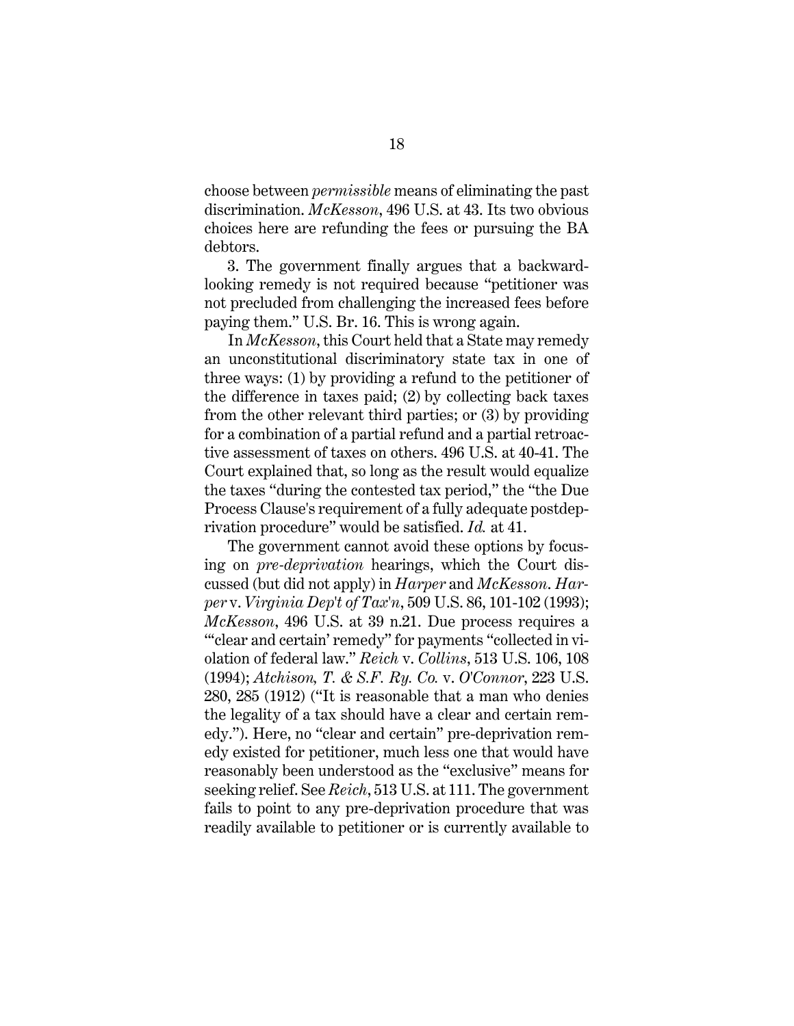choose between *permissible* means of eliminating the past discrimination. *McKesson*, 496 U.S. at 43. Its two obvious choices here are refunding the fees or pursuing the BA debtors.

3. The government finally argues that a backwardlooking remedy is not required because "petitioner was not precluded from challenging the increased fees before paying them." U.S. Br. 16. This is wrong again.

In *McKesson*, this Court held that a State may remedy an unconstitutional discriminatory state tax in one of three ways: (1) by providing a refund to the petitioner of the difference in taxes paid; (2) by collecting back taxes from the other relevant third parties; or (3) by providing for a combination of a partial refund and a partial retroactive assessment of taxes on others. 496 U.S. at 40-41. The Court explained that, so long as the result would equalize the taxes "during the contested tax period," the "the Due Process Clause's requirement of a fully adequate postdeprivation procedure" would be satisfied. *Id.* at 41.

The government cannot avoid these options by focusing on *pre-deprivation* hearings, which the Court discussed (but did not apply) in *Harper* and *McKesson*. *Harper* v. *Virginia Dep't of Tax'n*, 509 U.S. 86, 101-102 (1993); *McKesson*, 496 U.S. at 39 n.21. Due process requires a "" clear and certain' remedy" for payments "collected in violation of federal law." *Reich* v. *Collins*, 513 U.S. 106, 108 (1994); *Atchison, T. & S.F. Ry. Co.* v. *O'Connor*, 223 U.S. 280, 285 (1912) ("It is reasonable that a man who denies the legality of a tax should have a clear and certain remedy."). Here, no "clear and certain" pre-deprivation remedy existed for petitioner, much less one that would have reasonably been understood as the "exclusive" means for seeking relief. See *Reich*, 513 U.S. at 111. The government fails to point to any pre-deprivation procedure that was readily available to petitioner or is currently available to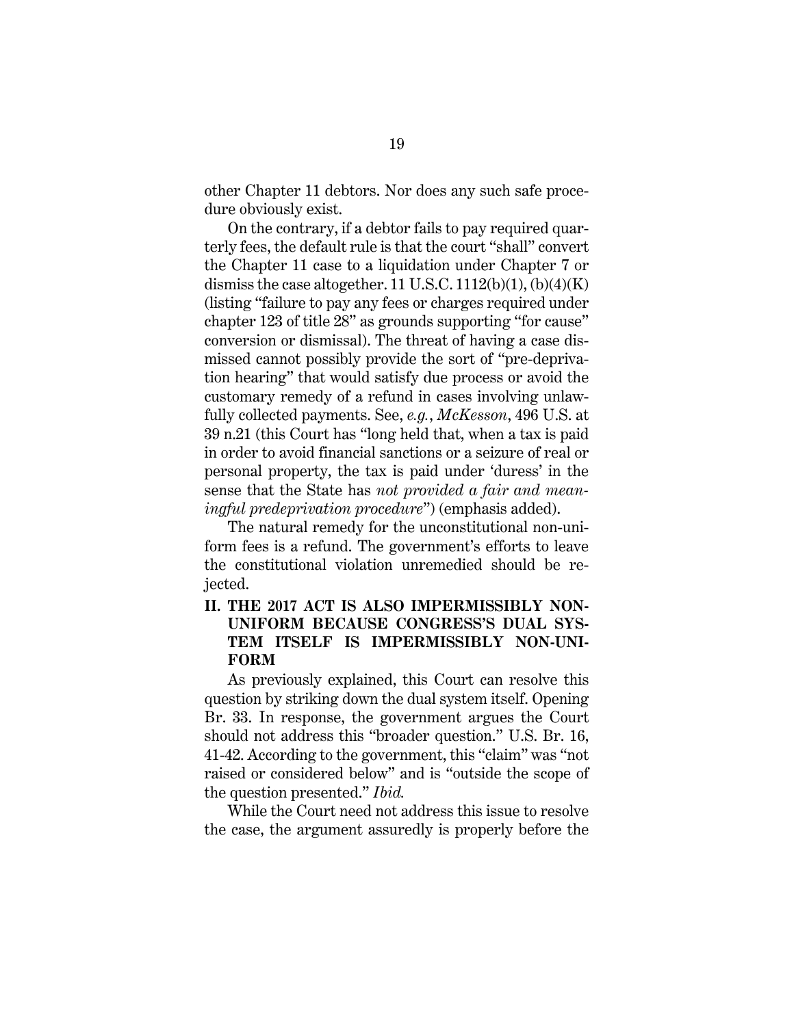other Chapter 11 debtors. Nor does any such safe procedure obviously exist.

On the contrary, if a debtor fails to pay required quarterly fees, the default rule is that the court "shall" convert the Chapter 11 case to a liquidation under Chapter 7 or dismiss the case altogether. 11 U.S.C.  $1112(b)(1)$ ,  $(b)(4)(K)$ (listing "failure to pay any fees or charges required under chapter 123 of title 28" as grounds supporting "for cause" conversion or dismissal). The threat of having a case dismissed cannot possibly provide the sort of "pre-deprivation hearing" that would satisfy due process or avoid the customary remedy of a refund in cases involving unlawfully collected payments. See, *e.g.*, *McKesson*, 496 U.S. at 39 n.21 (this Court has "long held that, when a tax is paid in order to avoid financial sanctions or a seizure of real or personal property, the tax is paid under 'duress' in the sense that the State has *not provided a fair and meaningful predeprivation procedure*") (emphasis added).

The natural remedy for the unconstitutional non-uniform fees is a refund. The government's efforts to leave the constitutional violation unremedied should be rejected.

#### <span id="page-22-0"></span>**II. THE 2017 ACT IS ALSO IMPERMISSIBLY NON-UNIFORM BECAUSE CONGRESS'S DUAL SYS-TEM ITSELF IS IMPERMISSIBLY NON-UNI-FORM**

As previously explained, this Court can resolve this question by striking down the dual system itself. Opening Br. 33. In response, the government argues the Court should not address this "broader question." U.S. Br. 16, 41-42. According to the government, this "claim" was "not raised or considered below" and is "outside the scope of the question presented." *Ibid.*

While the Court need not address this issue to resolve the case, the argument assuredly is properly before the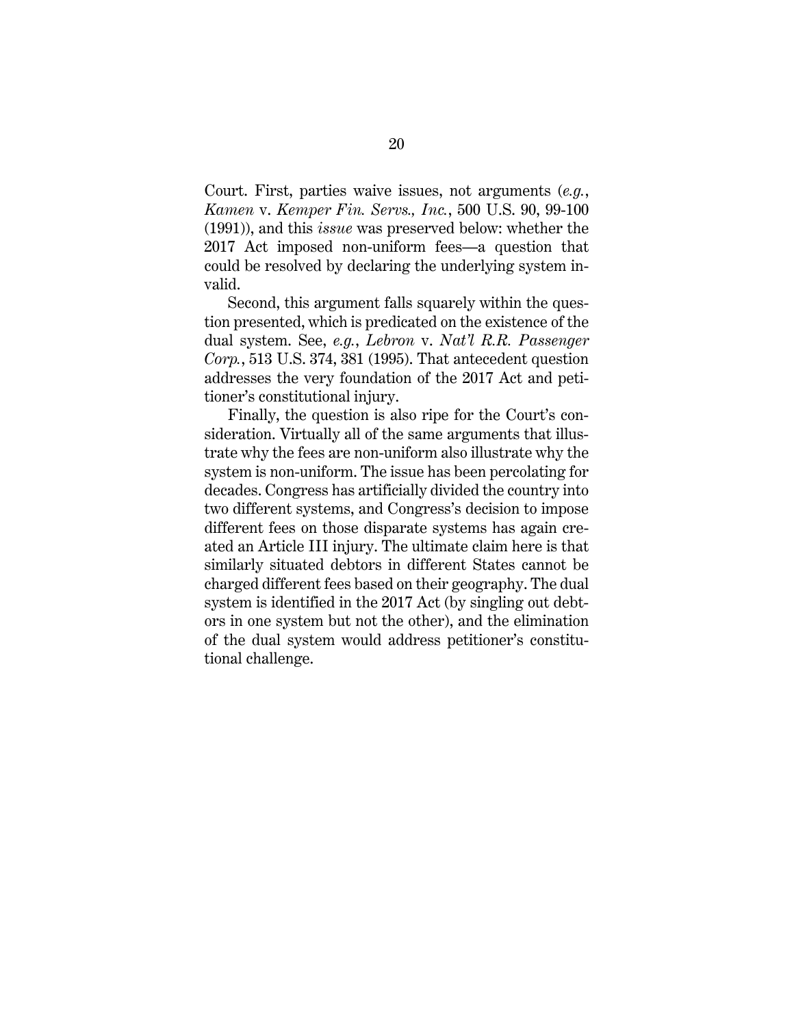Court. First, parties waive issues, not arguments (*e.g.*, *Kamen* v. *Kemper Fin. Servs., Inc.*, 500 U.S. 90, 99-100 (1991)), and this *issue* was preserved below: whether the 2017 Act imposed non-uniform fees—a question that could be resolved by declaring the underlying system invalid.

Second, this argument falls squarely within the question presented, which is predicated on the existence of the dual system. See, *e.g.*, *Lebron* v. *Nat'l R.R. Passenger Corp.*, 513 U.S. 374, 381 (1995). That antecedent question addresses the very foundation of the 2017 Act and petitioner's constitutional injury.

Finally, the question is also ripe for the Court's consideration. Virtually all of the same arguments that illustrate why the fees are non-uniform also illustrate why the system is non-uniform. The issue has been percolating for decades. Congress has artificially divided the country into two different systems, and Congress's decision to impose different fees on those disparate systems has again created an Article III injury. The ultimate claim here is that similarly situated debtors in different States cannot be charged different fees based on their geography. The dual system is identified in the 2017 Act (by singling out debtors in one system but not the other), and the elimination of the dual system would address petitioner's constitutional challenge.